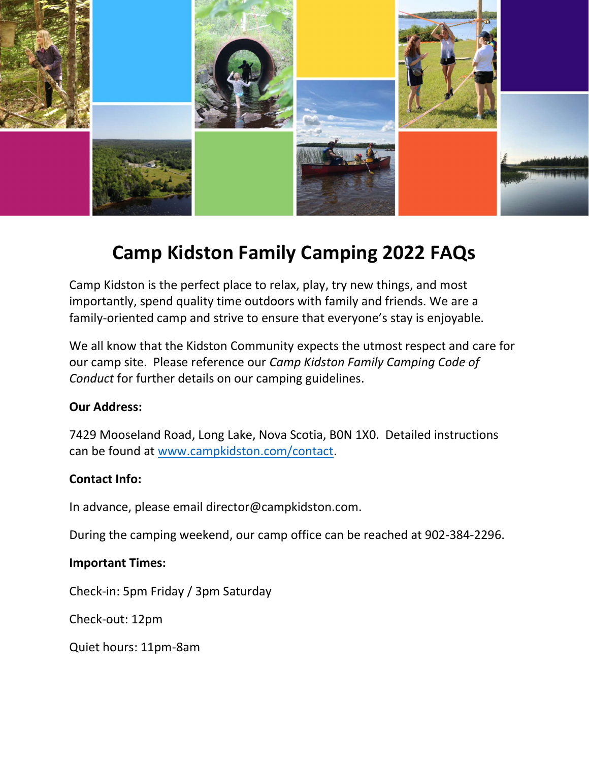

# Camp Kidston Family Camping 2022 FAQs

Camp Kidston is the perfect place to relax, play, try new things, and most importantly, spend quality time outdoors with family and friends. We are a family-oriented camp and strive to ensure that everyone's stay is enjoyable.

We all know that the Kidston Community expects the utmost respect and care for our camp site. Please reference our Camp Kidston Family Camping Code of Conduct for further details on our camping guidelines.

### Our Address:

7429 Mooseland Road, Long Lake, Nova Scotia, B0N 1X0. Detailed instructions can be found at www.campkidston.com/contact.

### Contact Info:

In advance, please email director@campkidston.com.

During the camping weekend, our camp office can be reached at 902-384-2296.

### Important Times:

Check-in: 5pm Friday / 3pm Saturday

Check-out: 12pm

Quiet hours: 11pm-8am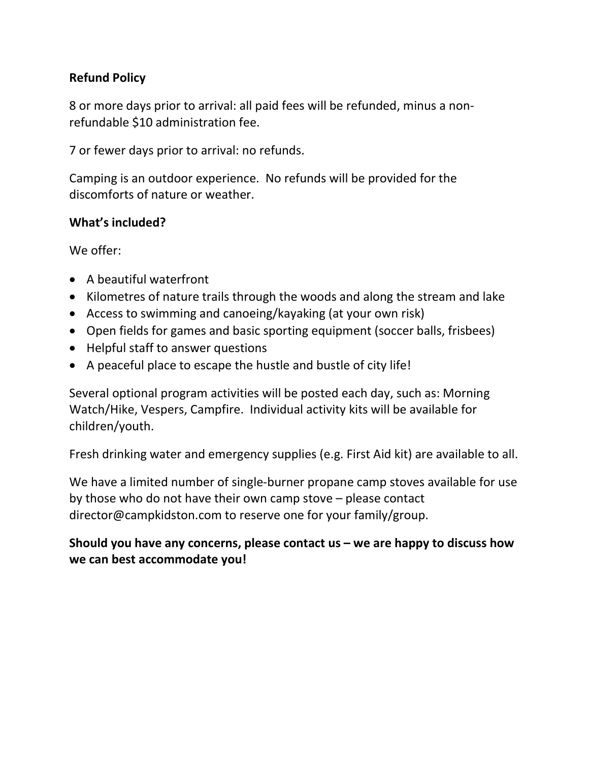## Refund Policy

8 or more days prior to arrival: all paid fees will be refunded, minus a nonrefundable \$10 administration fee.

7 or fewer days prior to arrival: no refunds.

Camping is an outdoor experience. No refunds will be provided for the discomforts of nature or weather.

## What's included?

We offer:

- A beautiful waterfront
- Kilometres of nature trails through the woods and along the stream and lake
- Access to swimming and canoeing/kayaking (at your own risk)
- Open fields for games and basic sporting equipment (soccer balls, frisbees)
- Helpful staff to answer questions
- A peaceful place to escape the hustle and bustle of city life!

Several optional program activities will be posted each day, such as: Morning Watch/Hike, Vespers, Campfire. Individual activity kits will be available for children/youth.

Fresh drinking water and emergency supplies (e.g. First Aid kit) are available to all.

We have a limited number of single-burner propane camp stoves available for use by those who do not have their own camp stove – please contact director@campkidston.com to reserve one for your family/group.

## Should you have any concerns, please contact  $us - we$  are happy to discuss how we can best accommodate you!